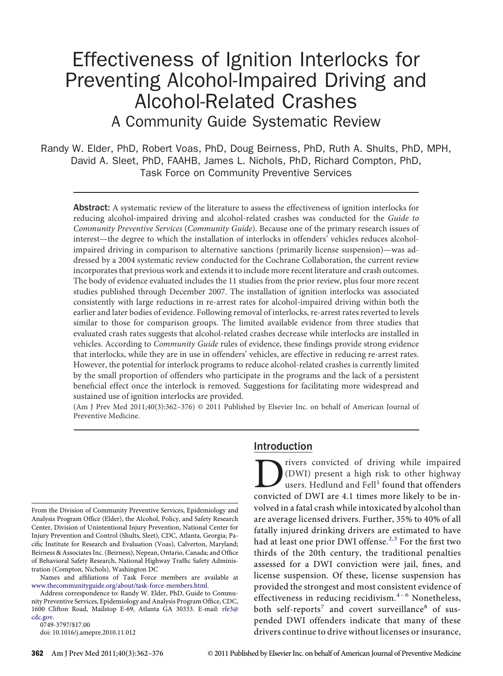# Effectiveness of Ignition Interlocks for Preventing Alcohol-Impaired Driving and Alcohol-Related Crashes A Community Guide Systematic Review

Randy W. Elder, PhD, Robert Voas, PhD, Doug Beirness, PhD, Ruth A. Shults, PhD, MPH, David A. Sleet, PhD, FAAHB, James L. Nichols, PhD, Richard Compton, PhD, Task Force on Community Preventive Services

Abstract: A systematic review of the literature to assess the effectiveness of ignition interlocks for reducing alcohol-impaired driving and alcohol-related crashes was conducted for the *Guide to Community Preventive Services* (*Community Guide*). Because one of the primary research issues of interest—the degree to which the installation of interlocks in offenders' vehicles reduces alcoholimpaired driving in comparison to alternative sanctions (primarily license suspension)—was addressed by a 2004 systematic review conducted for the Cochrane Collaboration, the current review incorporates that previous work and extends it to include more recent literature and crash outcomes. The body of evidence evaluated includes the 11 studies from the prior review, plus four more recent studies published through December 2007. The installation of ignition interlocks was associated consistently with large reductions in re-arrest rates for alcohol-impaired driving within both the earlier and later bodies of evidence. Following removal of interlocks, re-arrest rates reverted to levels similar to those for comparison groups. The limited available evidence from three studies that evaluated crash rates suggests that alcohol-related crashes decrease while interlocks are installed in vehicles. According to *Community Guide* rules of evidence, these fındings provide strong evidence that interlocks, while they are in use in offenders' vehicles, are effective in reducing re-arrest rates. However, the potential for interlock programs to reduce alcohol-related crashes is currently limited by the small proportion of offenders who participate in the programs and the lack of a persistent benefıcial effect once the interlock is removed. Suggestions for facilitating more widespread and sustained use of ignition interlocks are provided.

(Am J Prev Med 2011;40(3):362–376) © 2011 Published by Elsevier Inc. on behalf of American Journal of Preventive Medicine.

From the Division of Community Preventive Services, Epidemiology and Analysis Program Offıce (Elder), the Alcohol, Policy, and Safety Research Center, Division of Unintentional Injury Prevention, National Center for Injury Prevention and Control (Shults, Sleet), CDC, Atlanta, Georgia; Pacifıc Institute for Research and Evaluation (Voas), Calverton, Maryland; Beirness & Associates Inc. (Beirness), Nepean, Ontario, Canada; and Offıce of Behavioral Safety Research, National Highway Traffıc Safety Administration (Compton, Nichols), Washington DC

Names and affıliations of Task Force members are available at [www.thecommunityguide.org/about/task-force-members.html.](http://www.thecommunityguide.org/about/task-force-members.html)

Address correspondence to: Randy W. Elder, PhD, Guide to Community Preventive Services, Epidemiology and Analysis Program Offıce, CDC, 1600 Clifton Road, Mailstop E-69, Atlanta GA 30333. E-mail: [rfe3@](mailto:rfe3@cdc.gov) [cdc.gov.](mailto:rfe3@cdc.gov)

0749-3797/\$17.00 doi: 10.1016/j.amepre.2010.11.012

#### Introduction

Trivers convicted of driving while impaired<br>(DWI) present a high risk to other highway<br>users. Hedlund and Fell<sup>1</sup> found that offenders<br>convicted of DWI are 4.1 times more likely to be in-(DWI) present a high risk to other highway users. Hedlund and  $Fell<sup>1</sup>$  found that offenders convicted of DWI are 4.1 times more likely to be involved in a fatal crash while intoxicated by alcohol than are average licensed drivers. Further, 35% to 40% of all fatally injured drinking drivers are estimated to have had at least one prior DWI offense.<sup>[2,3](#page-10-0)</sup> For the first two thirds of the 20th century, the traditional penalties assessed for a DWI conviction were jail, fınes, and license suspension. Of these, license suspension has provided the strongest and most consistent evidence of effectiveness in reducing recidivism.<sup>4-6</sup> Nonetheless, both self-reports<sup>[7](#page-10-0)</sup> and covert surveillance<sup>[8](#page-10-0)</sup> of suspended DWI offenders indicate that many of these drivers continue to drive without licenses or insurance,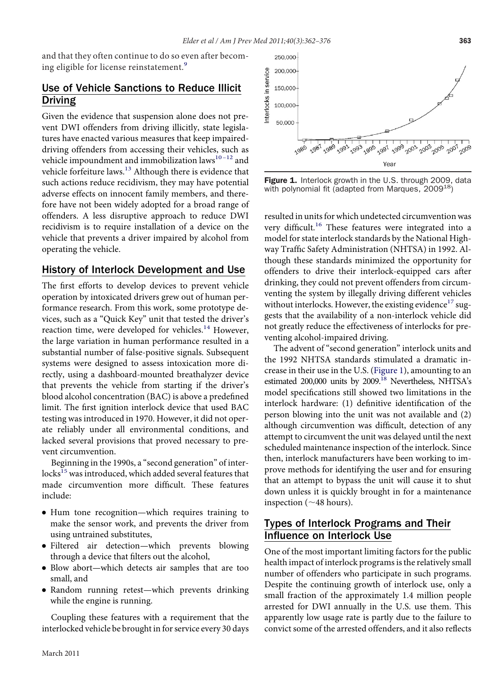and that they often continue to do so even after becom-ing eligible for license reinstatement.<sup>[9](#page-10-0)</sup>

# Use of Vehicle Sanctions to Reduce Illicit Driving

Given the evidence that suspension alone does not prevent DWI offenders from driving illicitly, state legislatures have enacted various measures that keep impaireddriving offenders from accessing their vehicles, such as vehicle impoundment and immobilization laws $10 - 12$  and vehicle forfeiture laws.<sup>[13](#page-10-0)</sup> Although there is evidence that such actions reduce recidivism, they may have potential adverse effects on innocent family members, and therefore have not been widely adopted for a broad range of offenders. A less disruptive approach to reduce DWI recidivism is to require installation of a device on the vehicle that prevents a driver impaired by alcohol from operating the vehicle.

#### History of Interlock Development and Use

The first efforts to develop devices to prevent vehicle operation by intoxicated drivers grew out of human performance research. From this work, some prototype devices, such as a "Quick Key" unit that tested the driver's reaction time, were developed for vehicles.<sup>14</sup> However, the large variation in human performance resulted in a substantial number of false-positive signals. Subsequent systems were designed to assess intoxication more directly, using a dashboard-mounted breathalyzer device that prevents the vehicle from starting if the driver's blood alcohol concentration (BAC) is above a predefıned limit. The fırst ignition interlock device that used BAC testing was introduced in 1970. However, it did not operate reliably under all environmental conditions, and lacked several provisions that proved necessary to prevent circumvention.

Beginning in the 1990s, a "second generation" of interlocks<sup>15</sup> was introduced, which added several features that made circumvention more diffıcult. These features include:

- Hum tone recognition—which requires training to make the sensor work, and prevents the driver from using untrained substitutes,
- Filtered air detection*—*which prevents blowing through a device that fılters out the alcohol,
- Blow abort*—*which detects air samples that are too small, and
- Random running retest—which prevents drinking while the engine is running.

Coupling these features with a requirement that the interlocked vehicle be brought in for service every 30 days



Figure 1. Interlock growth in the U.S. through 2009, data with polynomial fit (adapted from Marques,  $2009^{18}$ )

resulted in units for which undetected circumvention was very difficult.<sup>16</sup> These features were integrated into a model for state interlock standards by the National Highway Traffıc Safety Administration (NHTSA) in 1992. Although these standards minimized the opportunity for offenders to drive their interlock-equipped cars after drinking, they could not prevent offenders from circumventing the system by illegally driving different vehicles without interlocks. However, the existing evidence $^{17}$  $^{17}$  $^{17}$  suggests that the availability of a non-interlock vehicle did not greatly reduce the effectiveness of interlocks for preventing alcohol-impaired driving.

The advent of "second generation" interlock units and the 1992 NHTSA standards stimulated a dramatic increase in their use in the U.S. (Figure 1), amounting to an estimated 200,000 units by 2009.<sup>18</sup> Nevertheless, NHTSA's model specifıcations still showed two limitations in the interlock hardware: (1) defınitive identifıcation of the person blowing into the unit was not available and (2) although circumvention was diffıcult, detection of any attempt to circumvent the unit was delayed until the next scheduled maintenance inspection of the interlock. Since then, interlock manufacturers have been working to improve methods for identifying the user and for ensuring that an attempt to bypass the unit will cause it to shut down unless it is quickly brought in for a maintenance inspection ( $\sim$ 48 hours).

# Types of Interlock Programs and Their Influence on Interlock Use

One of the most important limiting factors for the public health impact of interlock programs is the relatively small number of offenders who participate in such programs. Despite the continuing growth of interlock use, only a small fraction of the approximately 1.4 million people arrested for DWI annually in the U.S. use them. This apparently low usage rate is partly due to the failure to convict some of the arrested offenders, and it also reflects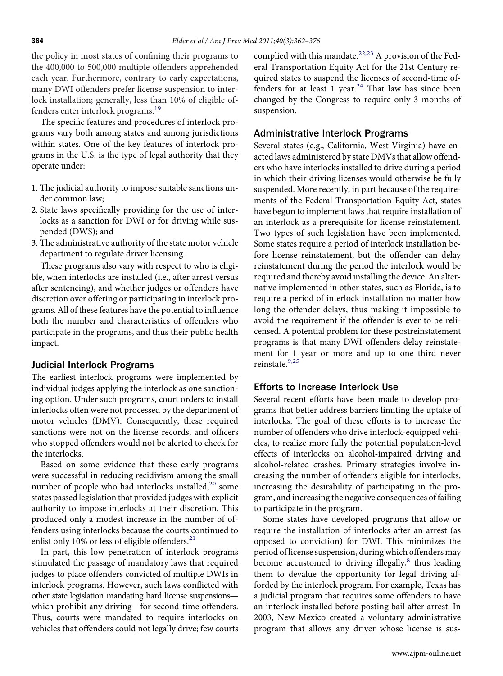the policy in most states of confıning their programs to the 400,000 to 500,000 multiple offenders apprehended each year. Furthermore, contrary to early expectations, many DWI offenders prefer license suspension to interlock installation; generally, less than 10% of eligible offenders enter interlock programs.[19](#page-10-0)

The specifıc features and procedures of interlock programs vary both among states and among jurisdictions within states. One of the key features of interlock programs in the U.S. is the type of legal authority that they operate under:

- 1. The judicial authority to impose suitable sanctions under common law;
- 2. State laws specifıcally providing for the use of interlocks as a sanction for DWI or for driving while suspended (DWS); and
- 3. The administrative authority of the state motor vehicle department to regulate driver licensing.

These programs also vary with respect to who is eligible, when interlocks are installed (i.e., after arrest versus after sentencing), and whether judges or offenders have discretion over offering or participating in interlock programs. All of these features have the potential to influence both the number and characteristics of offenders who participate in the programs, and thus their public health impact.

#### Judicial Interlock Programs

The earliest interlock programs were implemented by individual judges applying the interlock as one sanctioning option. Under such programs, court orders to install interlocks often were not processed by the department of motor vehicles (DMV). Consequently, these required sanctions were not on the license records, and offıcers who stopped offenders would not be alerted to check for the interlocks.

Based on some evidence that these early programs were successful in reducing recidivism among the small number of people who had interlocks installed,<sup>[20](#page-10-0)</sup> some states passed legislation that provided judges with explicit authority to impose interlocks at their discretion. This produced only a modest increase in the number of offenders using interlocks because the courts continued to enlist only 10% or less of eligible offenders. $21$ 

In part, this low penetration of interlock programs stimulated the passage of mandatory laws that required judges to place offenders convicted of multiple DWIs in interlock programs. However, such laws conflicted with other state legislation mandating hard license suspensions which prohibit any driving—for second-time offenders. Thus, courts were mandated to require interlocks on vehicles that offenders could not legally drive; few courts

complied with this mandate. $22,23$  A provision of the Federal Transportation Equity Act for the 21st Century required states to suspend the licenses of second-time offenders for at least 1 year.<sup>24</sup> That law has since been changed by the Congress to require only 3 months of suspension.

#### Administrative Interlock Programs

Several states (e.g., California, West Virginia) have enacted laws administered by state DMVs that allow offenders who have interlocks installed to drive during a period in which their driving licenses would otherwise be fully suspended. More recently, in part because of the requirements of the Federal Transportation Equity Act, states have begun to implement laws that require installation of an interlock as a prerequisite for license reinstatement. Two types of such legislation have been implemented. Some states require a period of interlock installation before license reinstatement, but the offender can delay reinstatement during the period the interlock would be required and thereby avoid installing the device. An alternative implemented in other states, such as Florida, is to require a period of interlock installation no matter how long the offender delays, thus making it impossible to avoid the requirement if the offender is ever to be relicensed. A potential problem for these postreinstatement programs is that many DWI offenders delay reinstatement for 1 year or more and up to one third never reinstate.[9,25](#page-10-0)

#### Efforts to Increase Interlock Use

Several recent efforts have been made to develop programs that better address barriers limiting the uptake of interlocks. The goal of these efforts is to increase the number of offenders who drive interlock-equipped vehicles, to realize more fully the potential population-level effects of interlocks on alcohol-impaired driving and alcohol-related crashes. Primary strategies involve increasing the number of offenders eligible for interlocks, increasing the desirability of participating in the program, and increasing the negative consequences of failing to participate in the program.

Some states have developed programs that allow or require the installation of interlocks after an arrest (as opposed to conviction) for DWI. This minimizes the period of license suspension, during which offenders may become accustomed to driving illegally, $<sup>8</sup>$  $<sup>8</sup>$  $<sup>8</sup>$  thus leading</sup> them to devalue the opportunity for legal driving afforded by the interlock program. For example, Texas has a judicial program that requires some offenders to have an interlock installed before posting bail after arrest. In 2003, New Mexico created a voluntary administrative program that allows any driver whose license is sus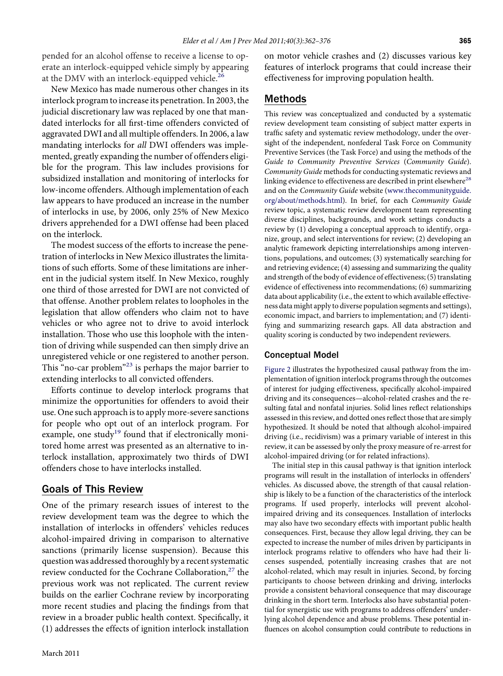pended for an alcohol offense to receive a license to operate an interlock-equipped vehicle simply by appearing at the DMV with an interlock-equipped vehicle.<sup>[26](#page-10-0)</sup>

New Mexico has made numerous other changes in its interlock program to increase its penetration. In 2003, the judicial discretionary law was replaced by one that mandated interlocks for all fırst-time offenders convicted of aggravated DWI and all multiple offenders. In 2006, a law mandating interlocks for *all* DWI offenders was implemented, greatly expanding the number of offenders eligible for the program. This law includes provisions for subsidized installation and monitoring of interlocks for low-income offenders. Although implementation of each law appears to have produced an increase in the number of interlocks in use, by 2006, only 25% of New Mexico drivers apprehended for a DWI offense had been placed on the interlock.

The modest success of the efforts to increase the penetration of interlocks in New Mexico illustrates the limitations of such efforts. Some of these limitations are inherent in the judicial system itself. In New Mexico, roughly one third of those arrested for DWI are not convicted of that offense. Another problem relates to loopholes in the legislation that allow offenders who claim not to have vehicles or who agree not to drive to avoid interlock installation. Those who use this loophole with the intention of driving while suspended can then simply drive an unregistered vehicle or one registered to another person. This "no-car problem"<sup>23</sup> is perhaps the major barrier to extending interlocks to all convicted offenders.

Efforts continue to develop interlock programs that minimize the opportunities for offenders to avoid their use. One such approach is to apply more-severe sanctions for people who opt out of an interlock program. For example, one study<sup>[19](#page-10-0)</sup> found that if electronically monitored home arrest was presented as an alternative to interlock installation, approximately two thirds of DWI offenders chose to have interlocks installed.

#### Goals of This Review

One of the primary research issues of interest to the review development team was the degree to which the installation of interlocks in offenders' vehicles reduces alcohol-impaired driving in comparison to alternative sanctions (primarily license suspension). Because this question was addressed thoroughly by a recent systematic review conducted for the Cochrane Collaboration,<sup>27</sup> the previous work was not replicated. The current review builds on the earlier Cochrane review by incorporating more recent studies and placing the fındings from that review in a broader public health context. Specifıcally, it (1) addresses the effects of ignition interlock installation

on motor vehicle crashes and (2) discusses various key features of interlock programs that could increase their effectiveness for improving population health.

#### Methods

This review was conceptualized and conducted by a systematic review development team consisting of subject matter experts in traffıc safety and systematic review methodology, under the oversight of the independent, nonfederal Task Force on Community Preventive Services (the Task Force) and using the methods of the *Guide to Community Preventive Services* (*Community Guide*). *Community Guide* methods for conducting systematic reviews and linking evidence to effectiveness are described in print elsewhere<sup>28</sup> and on the *Community Guide* website [\(www.thecommunityguide.](http://www.thecommunityguide.org/about/methods.html) [org/about/methods.html\)](http://www.thecommunityguide.org/about/methods.html). In brief, for each *Community Guide* review topic, a systematic review development team representing diverse disciplines, backgrounds, and work settings conducts a review by (1) developing a conceptual approach to identify, organize, group, and select interventions for review; (2) developing an analytic framework depicting interrelationships among interventions, populations, and outcomes; (3) systematically searching for and retrieving evidence; (4) assessing and summarizing the quality and strength of the body of evidence of effectiveness; (5) translating evidence of effectiveness into recommendations; (6) summarizing data about applicability (i.e., the extent to which available effectiveness data might apply to diverse population segments and settings), economic impact, and barriers to implementation; and (7) identifying and summarizing research gaps. All data abstraction and quality scoring is conducted by two independent reviewers.

#### Conceptual Model

[Figure 2](#page-4-0) illustrates the hypothesized causal pathway from the implementation of ignition interlock programs through the outcomes of interest for judging effectiveness, specifıcally alcohol-impaired driving and its consequences—alcohol-related crashes and the resulting fatal and nonfatal injuries. Solid lines reflect relationships assessed in this review, and dotted ones reflect those that are simply hypothesized. It should be noted that although alcohol-impaired driving (i.e., recidivism) was a primary variable of interest in this review, it can be assessed by only the proxy measure of re-arrest for alcohol-impaired driving (or for related infractions).

The initial step in this causal pathway is that ignition interlock programs will result in the installation of interlocks in offenders' vehicles. As discussed above, the strength of that causal relationship is likely to be a function of the characteristics of the interlock programs. If used properly, interlocks will prevent alcoholimpaired driving and its consequences. Installation of interlocks may also have two secondary effects with important public health consequences. First, because they allow legal driving, they can be expected to increase the number of miles driven by participants in interlock programs relative to offenders who have had their licenses suspended, potentially increasing crashes that are not alcohol-related, which may result in injuries. Second, by forcing participants to choose between drinking and driving, interlocks provide a consistent behavioral consequence that may discourage drinking in the short term. Interlocks also have substantial potential for synergistic use with programs to address offenders' underlying alcohol dependence and abuse problems. These potential influences on alcohol consumption could contribute to reductions in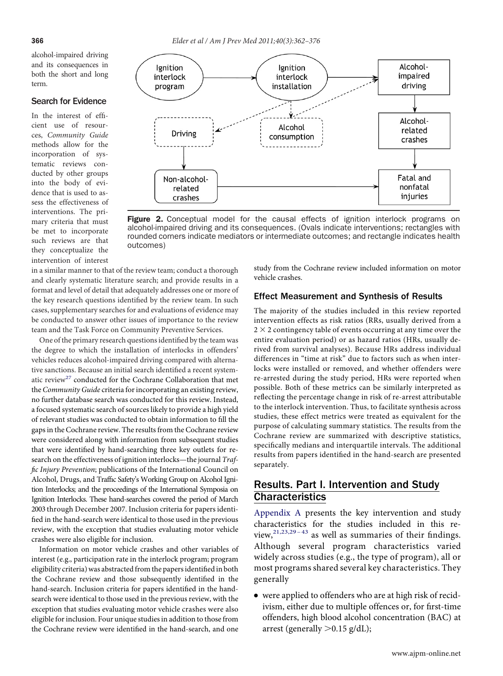<span id="page-4-0"></span>alcohol-impaired driving and its consequences in both the short and long term.

#### Search for Evidence

In the interest of effıcient use of resources, *Community Guide* methods allow for the incorporation of systematic reviews conducted by other groups into the body of evidence that is used to assess the effectiveness of interventions. The primary criteria that must be met to incorporate such reviews are that they conceptualize the intervention of interest



Figure 2. Conceptual model for the causal effects of ignition interlock programs on alcohol-impaired driving and its consequences. (Ovals indicate interventions; rectangles with rounded corners indicate mediators or intermediate outcomes; and rectangle indicates health outcomes)

in a similar manner to that of the review team; conduct a thorough and clearly systematic literature search; and provide results in a format and level of detail that adequately addresses one or more of the key research questions identifıed by the review team. In such cases, supplementary searches for and evaluations of evidence may be conducted to answer other issues of importance to the review team and the Task Force on Community Preventive Services.

One of the primary research questions identifıed by the team was the degree to which the installation of interlocks in offenders' vehicles reduces alcohol-impaired driving compared with alternative sanctions. Because an initial search identifıed a recent system-atic review<sup>[27](#page-10-0)</sup> conducted for the Cochrane Collaboration that met the *Community Guide* criteria for incorporating an existing review, no further database search was conducted for this review. Instead, a focused systematic search of sources likely to provide a high yield of relevant studies was conducted to obtain information to fıll the gaps in the Cochrane review. The results from the Cochrane review were considered along with information from subsequent studies that were identifıed by hand-searching three key outlets for research on the effectiveness of ignition interlocks—the journal *Traffıc Injury Prevention*; publications of the International Council on Alcohol, Drugs, and Traffıc Safety's Working Group on Alcohol Ignition Interlocks; and the proceedings of the International Symposia on Ignition Interlocks. These hand-searches covered the period of March 2003 through December 2007. Inclusion criteria for papers identifıed in the hand-search were identical to those used in the previous review, with the exception that studies evaluating motor vehicle crashes were also eligible for inclusion.

Information on motor vehicle crashes and other variables of interest (e.g., participation rate in the interlock program; program eligibility criteria) was abstracted from the papers identifıed in both the Cochrane review and those subsequently identifıed in the hand-search. Inclusion criteria for papers identifıed in the handsearch were identical to those used in the previous review, with the exception that studies evaluating motor vehicle crashes were also eligible for inclusion. Four unique studies in addition to those from the Cochrane review were identifıed in the hand-search, and one study from the Cochrane review included information on motor vehicle crashes.

#### Effect Measurement and Synthesis of Results

The majority of the studies included in this review reported intervention effects as risk ratios (RRs, usually derived from a 2  $\times$  2 contingency table of events occurring at any time over the entire evaluation period) or as hazard ratios (HRs, usually derived from survival analyses). Because HRs address individual differences in "time at risk" due to factors such as when interlocks were installed or removed, and whether offenders were re-arrested during the study period, HRs were reported when possible. Both of these metrics can be similarly interpreted as reflecting the percentage change in risk of re-arrest attributable to the interlock intervention. Thus, to facilitate synthesis across studies, these effect metrics were treated as equivalent for the purpose of calculating summary statistics. The results from the Cochrane review are summarized with descriptive statistics, specifıcally medians and interquartile intervals. The additional results from papers identifıed in the hand-search are presented separately.

## Results. Part I. Intervention and Study **Characteristics**

[Appendix A](#page-11-0) presents the key intervention and study characteristics for the studies included in this review, $^{21,23,29-43}$  as well as summaries of their findings. Although several program characteristics varied widely across studies (e.g., the type of program), all or most programs shared several key characteristics. They generally

● were applied to offenders who are at high risk of recidivism, either due to multiple offences or, for fırst-time offenders, high blood alcohol concentration (BAC) at arrest (generally  $>0.15$  g/dL);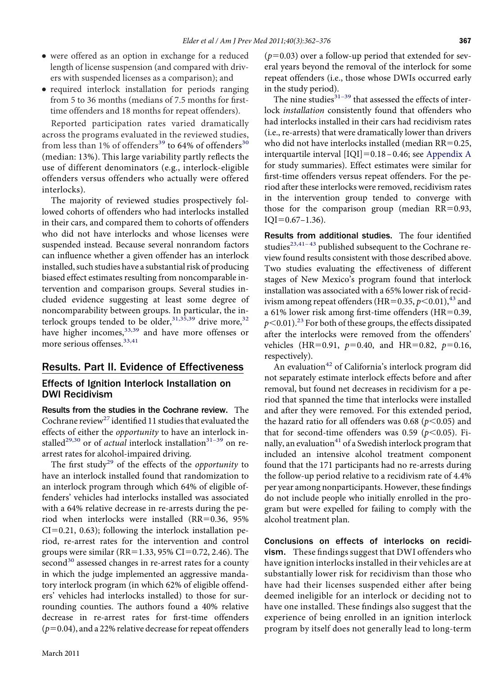- were offered as an option in exchange for a reduced length of license suspension (and compared with drivers with suspended licenses as a comparison); and
- required interlock installation for periods ranging from 5 to 36 months (medians of 7.5 months for fırsttime offenders and 18 months for repeat offenders).

Reported participation rates varied dramatically across the programs evaluated in the reviewed studies, from less than 1% of offenders<sup>[39](#page-11-0)</sup> to 64% of offenders<sup>[30](#page-10-0)</sup> (median: 13%). This large variability partly reflects the use of different denominators (e.g., interlock-eligible offenders versus offenders who actually were offered interlocks).

The majority of reviewed studies prospectively followed cohorts of offenders who had interlocks installed in their cars, and compared them to cohorts of offenders who did not have interlocks and whose licenses were suspended instead. Because several nonrandom factors can influence whether a given offender has an interlock installed, such studies have a substantial risk of producing biased effect estimates resulting from noncomparable intervention and comparison groups. Several studies included evidence suggesting at least some degree of noncomparability between groups. In particular, the interlock groups tended to be older,  $31,35,39$  drive more,  $32$ have higher incomes,<sup>[33,39](#page-10-0)</sup> and have more offenses or more serious offenses.[33,41](#page-10-0)

#### Results. Part II. Evidence of Effectiveness

#### Effects of Ignition Interlock Installation on DWI Recidivism

Results from the studies in the Cochrane review. The Cochrane review<sup>[27](#page-10-0)</sup> identified 11 studies that evaluated the effects of either the *opportunity* to have an interlock in-stalled<sup>[29,30](#page-10-0)</sup> or of *actual* interlock installation<sup>31-39</sup> on rearrest rates for alcohol-impaired driving.

The first study<sup>[29](#page-10-0)</sup> of the effects of the *opportunity* to have an interlock installed found that randomization to an interlock program through which 64% of eligible offenders' vehicles had interlocks installed was associated with a 64% relative decrease in re-arrests during the period when interlocks were installed (RR=0.36, 95%)  $CI=0.21, 0.63$ ; following the interlock installation period, re-arrest rates for the intervention and control groups were similar (RR=1.33, 95% CI=0.72, 2.46). The second<sup>[30](#page-10-0)</sup> assessed changes in re-arrest rates for a county in which the judge implemented an aggressive mandatory interlock program (in which 62% of eligible offenders' vehicles had interlocks installed) to those for surrounding counties. The authors found a 40% relative decrease in re-arrest rates for fırst-time offenders  $(p=0.04)$ , and a 22% relative decrease for repeat offenders

 $(p=0.03)$  over a follow-up period that extended for several years beyond the removal of the interlock for some repeat offenders (i.e., those whose DWIs occurred early in the study period).

The nine studies $31-39$  that assessed the effects of interlock *installation* consistently found that offenders who had interlocks installed in their cars had recidivism rates (i.e., re-arrests) that were dramatically lower than drivers who did not have interlocks installed (median  $RR=0.25$ , interquartile interval  $[IQI]=0.18 - 0.46$ ; see [Appendix A](#page-11-0) for study summaries). Effect estimates were similar for fırst-time offenders versus repeat offenders. For the period after these interlocks were removed, recidivism rates in the intervention group tended to converge with those for the comparison group (median  $RR=0.93$ ,  $IQI=0.67-1.36$ ).

Results from additional studies. The four identifıed studies<sup>23,41-43</sup> published subsequent to the Cochrane review found results consistent with those described above. Two studies evaluating the effectiveness of different stages of New Mexico's program found that interlock installation was associated with a 65% lower risk of recidivism among repeat offenders (HR=0.35,  $p<0.01$ ),<sup>[43](#page-11-0)</sup> and a 61% lower risk among first-time offenders ( $HR=0.39$ ,  $p$ <0.01).<sup>[23](#page-10-0)</sup> For both of these groups, the effects dissipated after the interlocks were removed from the offenders' vehicles (HR=0.91,  $p=0.40$ , and HR=0.82,  $p=0.16$ , respectively).

An evaluation<sup>[42](#page-11-0)</sup> of California's interlock program did not separately estimate interlock effects before and after removal, but found net decreases in recidivism for a period that spanned the time that interlocks were installed and after they were removed. For this extended period, the hazard ratio for all offenders was 0.68 ( $p$ <0.05) and that for second-time offenders was 0.59 ( $p<0.05$ ). Finally, an evaluation $41$  of a Swedish interlock program that included an intensive alcohol treatment component found that the 171 participants had no re-arrests during the follow-up period relative to a recidivism rate of 4.4% per year among nonparticipants. However, these fındings do not include people who initially enrolled in the program but were expelled for failing to comply with the alcohol treatment plan.

Conclusions on effects of interlocks on recidivism. These fındings suggest that DWI offenders who have ignition interlocks installed in their vehicles are at substantially lower risk for recidivism than those who have had their licenses suspended either after being deemed ineligible for an interlock or deciding not to have one installed. These fındings also suggest that the experience of being enrolled in an ignition interlock program by itself does not generally lead to long-term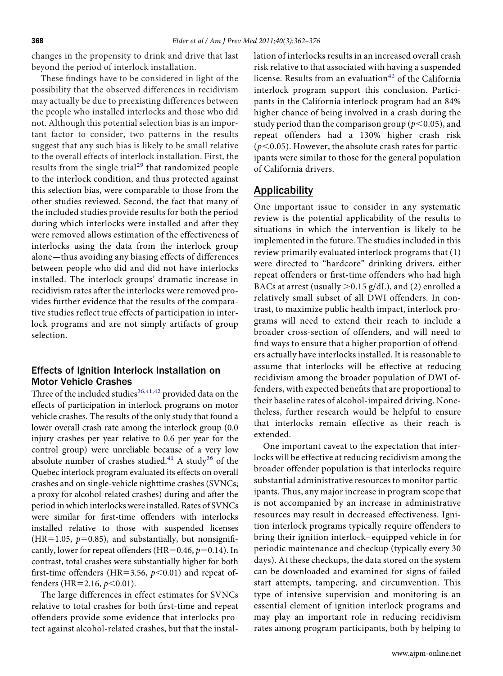changes in the propensity to drink and drive that last beyond the period of interlock installation.

These fındings have to be considered in light of the possibility that the observed differences in recidivism may actually be due to preexisting differences between the people who installed interlocks and those who did not. Although this potential selection bias is an important factor to consider, two patterns in the results suggest that any such bias is likely to be small relative to the overall effects of interlock installation. First, the results from the single trial<sup>[29](#page-10-0)</sup> that randomized people to the interlock condition, and thus protected against this selection bias, were comparable to those from the other studies reviewed. Second, the fact that many of the included studies provide results for both the period during which interlocks were installed and after they were removed allows estimation of the effectiveness of interlocks using the data from the interlock group alone—thus avoiding any biasing effects of differences between people who did and did not have interlocks installed. The interlock groups' dramatic increase in recidivism rates after the interlocks were removed provides further evidence that the results of the comparative studies reflect true effects of participation in interlock programs and are not simply artifacts of group selection.

#### Effects of Ignition Interlock Installation on Motor Vehicle Crashes

Three of the included studies $36,41,42$  provided data on the effects of participation in interlock programs on motor vehicle crashes. The results of the only study that found a lower overall crash rate among the interlock group (0.0 injury crashes per year relative to 0.6 per year for the control group) were unreliable because of a very low absolute number of crashes studied.<sup>[41](#page-11-0)</sup> A study<sup>[36](#page-10-0)</sup> of the Quebec interlock program evaluated its effects on overall crashes and on single-vehicle nighttime crashes (SVNCs; a proxy for alcohol-related crashes) during and after the period in which interlocks were installed. Rates of SVNCs were similar for fırst-time offenders with interlocks installed relative to those with suspended licenses (HR=1.05,  $p=0.85$ ), and substantially, but nonsignificantly, lower for repeat offenders ( $HR=0.46$ ,  $p=0.14$ ). In contrast, total crashes were substantially higher for both first-time offenders (HR=3.56,  $p$ <0.01) and repeat offenders (HR=2.16, *p*<0.01).

The large differences in effect estimates for SVNCs relative to total crashes for both fırst-time and repeat offenders provide some evidence that interlocks protect against alcohol-related crashes, but that the installation of interlocks results in an increased overall crash risk relative to that associated with having a suspended license. Results from an evaluation $42$  of the California interlock program support this conclusion. Participants in the California interlock program had an 84% higher chance of being involved in a crash during the study period than the comparison group ( $p<0.05$ ), and repeat offenders had a 130% higher crash risk  $(p<0.05)$ . However, the absolute crash rates for participants were similar to those for the general population of California drivers.

#### Applicability

One important issue to consider in any systematic review is the potential applicability of the results to situations in which the intervention is likely to be implemented in the future. The studies included in this review primarily evaluated interlock programs that (1) were directed to "hardcore" drinking drivers, either repeat offenders or fırst-time offenders who had high BACs at arrest (usually  $>$  0.15 g/dL), and (2) enrolled a relatively small subset of all DWI offenders. In contrast, to maximize public health impact, interlock programs will need to extend their reach to include a broader cross-section of offenders, and will need to fınd ways to ensure that a higher proportion of offenders actually have interlocks installed. It is reasonable to assume that interlocks will be effective at reducing recidivism among the broader population of DWI offenders, with expected benefıts that are proportional to their baseline rates of alcohol-impaired driving. Nonetheless, further research would be helpful to ensure that interlocks remain effective as their reach is extended.

One important caveat to the expectation that interlocks will be effective at reducing recidivism among the broader offender population is that interlocks require substantial administrative resources to monitor participants. Thus, any major increase in program scope that is not accompanied by an increase in administrative resources may result in decreased effectiveness. Ignition interlock programs typically require offenders to bring their ignition interlock– equipped vehicle in for periodic maintenance and checkup (typically every 30 days). At these checkups, the data stored on the system can be downloaded and examined for signs of failed start attempts, tampering, and circumvention. This type of intensive supervision and monitoring is an essential element of ignition interlock programs and may play an important role in reducing recidivism rates among program participants, both by helping to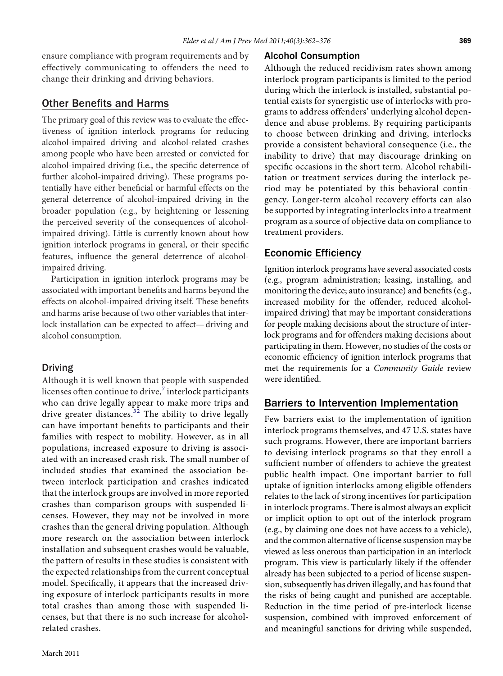ensure compliance with program requirements and by effectively communicating to offenders the need to change their drinking and driving behaviors.

### Other Benefits and Harms

The primary goal of this review was to evaluate the effectiveness of ignition interlock programs for reducing alcohol-impaired driving and alcohol-related crashes among people who have been arrested or convicted for alcohol-impaired driving (i.e., the specifıc deterrence of further alcohol-impaired driving). These programs potentially have either benefıcial or harmful effects on the general deterrence of alcohol-impaired driving in the broader population (e.g., by heightening or lessening the perceived severity of the consequences of alcoholimpaired driving). Little is currently known about how ignition interlock programs in general, or their specifıc features, influence the general deterrence of alcoholimpaired driving.

Participation in ignition interlock programs may be associated with important benefıts and harms beyond the effects on alcohol-impaired driving itself. These benefıts and harms arise because of two other variables that interlock installation can be expected to affect— driving and alcohol consumption.

#### Driving

Although it is well known that people with suspended licenses often continue to drive, $\frac{7}{1}$  $\frac{7}{1}$  $\frac{7}{1}$  interlock participants who can drive legally appear to make more trips and drive greater distances.<sup>[32](#page-10-0)</sup> The ability to drive legally can have important benefıts to participants and their families with respect to mobility. However, as in all populations, increased exposure to driving is associated with an increased crash risk. The small number of included studies that examined the association between interlock participation and crashes indicated that the interlock groups are involved in more reported crashes than comparison groups with suspended licenses. However, they may not be involved in more crashes than the general driving population. Although more research on the association between interlock installation and subsequent crashes would be valuable, the pattern of results in these studies is consistent with the expected relationships from the current conceptual model. Specifıcally, it appears that the increased driving exposure of interlock participants results in more total crashes than among those with suspended licenses, but that there is no such increase for alcoholrelated crashes.

#### Alcohol Consumption

Although the reduced recidivism rates shown among interlock program participants is limited to the period during which the interlock is installed, substantial potential exists for synergistic use of interlocks with programs to address offenders' underlying alcohol dependence and abuse problems. By requiring participants to choose between drinking and driving, interlocks provide a consistent behavioral consequence (i.e., the inability to drive) that may discourage drinking on specifıc occasions in the short term. Alcohol rehabilitation or treatment services during the interlock period may be potentiated by this behavioral contingency. Longer-term alcohol recovery efforts can also be supported by integrating interlocks into a treatment program as a source of objective data on compliance to treatment providers.

# Economic Efficiency

Ignition interlock programs have several associated costs (e.g., program administration; leasing, installing, and monitoring the device; auto insurance) and benefıts (e.g., increased mobility for the offender, reduced alcoholimpaired driving) that may be important considerations for people making decisions about the structure of interlock programs and for offenders making decisions about participating in them. However, no studies of the costs or economic effıciency of ignition interlock programs that met the requirements for a *Community Guide* review were identifıed.

# Barriers to Intervention Implementation

Few barriers exist to the implementation of ignition interlock programs themselves, and 47 U.S. states have such programs. However, there are important barriers to devising interlock programs so that they enroll a sufficient number of offenders to achieve the greatest public health impact. One important barrier to full uptake of ignition interlocks among eligible offenders relates to the lack of strong incentives for participation in interlock programs. There is almost always an explicit or implicit option to opt out of the interlock program (e.g., by claiming one does not have access to a vehicle), and the common alternative of license suspension may be viewed as less onerous than participation in an interlock program. This view is particularly likely if the offender already has been subjected to a period of license suspension, subsequently has driven illegally, and has found that the risks of being caught and punished are acceptable. Reduction in the time period of pre-interlock license suspension, combined with improved enforcement of and meaningful sanctions for driving while suspended,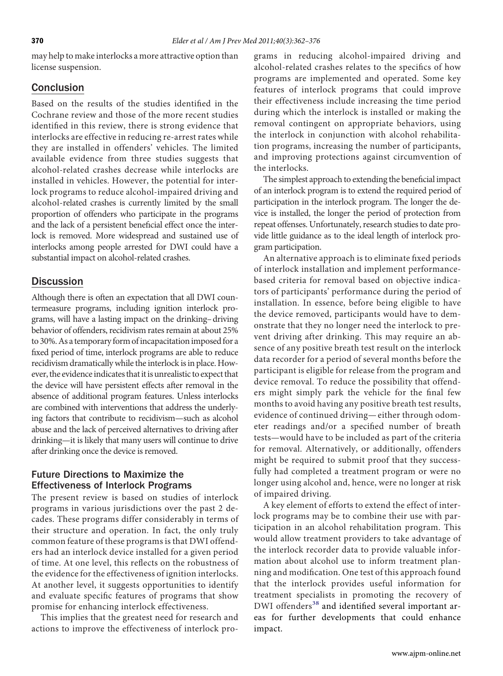may help to make interlocks a more attractive option than license suspension.

## Conclusion

Based on the results of the studies identifıed in the Cochrane review and those of the more recent studies identifıed in this review, there is strong evidence that interlocks are effective in reducing re-arrest rates while they are installed in offenders' vehicles. The limited available evidence from three studies suggests that alcohol-related crashes decrease while interlocks are installed in vehicles. However, the potential for interlock programs to reduce alcohol-impaired driving and alcohol-related crashes is currently limited by the small proportion of offenders who participate in the programs and the lack of a persistent benefıcial effect once the interlock is removed. More widespread and sustained use of interlocks among people arrested for DWI could have a substantial impact on alcohol-related crashes.

# **Discussion**

Although there is often an expectation that all DWI countermeasure programs, including ignition interlock programs, will have a lasting impact on the drinking–driving behavior of offenders, recidivism rates remain at about 25% to 30%. As a temporary form of incapacitation imposed for a fıxed period of time, interlock programs are able to reduce recidivism dramatically while the interlock is in place. However, the evidence indicates that it is unrealistic to expect that the device will have persistent effects after removal in the absence of additional program features. Unless interlocks are combined with interventions that address the underlying factors that contribute to recidivism—such as alcohol abuse and the lack of perceived alternatives to driving after drinking—it is likely that many users will continue to drive after drinking once the device is removed.

#### Future Directions to Maximize the Effectiveness of Interlock Programs

The present review is based on studies of interlock programs in various jurisdictions over the past 2 decades. These programs differ considerably in terms of their structure and operation. In fact, the only truly common feature of these programs is that DWI offenders had an interlock device installed for a given period of time. At one level, this reflects on the robustness of the evidence for the effectiveness of ignition interlocks. At another level, it suggests opportunities to identify and evaluate specifıc features of programs that show promise for enhancing interlock effectiveness.

This implies that the greatest need for research and actions to improve the effectiveness of interlock programs in reducing alcohol-impaired driving and alcohol-related crashes relates to the specifıcs of how programs are implemented and operated. Some key features of interlock programs that could improve their effectiveness include increasing the time period during which the interlock is installed or making the removal contingent on appropriate behaviors, using the interlock in conjunction with alcohol rehabilitation programs, increasing the number of participants, and improving protections against circumvention of the interlocks.

The simplest approach to extending the benefıcial impact of an interlock program is to extend the required period of participation in the interlock program. The longer the device is installed, the longer the period of protection from repeat offenses. Unfortunately, research studies to date provide little guidance as to the ideal length of interlock program participation.

An alternative approach is to eliminate fıxed periods of interlock installation and implement performancebased criteria for removal based on objective indicators of participants' performance during the period of installation. In essence, before being eligible to have the device removed, participants would have to demonstrate that they no longer need the interlock to prevent driving after drinking. This may require an absence of any positive breath test result on the interlock data recorder for a period of several months before the participant is eligible for release from the program and device removal. To reduce the possibility that offenders might simply park the vehicle for the fınal few months to avoid having any positive breath test results, evidence of continued driving— either through odometer readings and/or a specifıed number of breath tests—would have to be included as part of the criteria for removal. Alternatively, or additionally, offenders might be required to submit proof that they successfully had completed a treatment program or were no longer using alcohol and, hence, were no longer at risk of impaired driving.

A key element of efforts to extend the effect of interlock programs may be to combine their use with participation in an alcohol rehabilitation program. This would allow treatment providers to take advantage of the interlock recorder data to provide valuable information about alcohol use to inform treatment planning and modifıcation. One test of this approach found that the interlock provides useful information for treatment specialists in promoting the recovery of DWI offenders<sup>[38](#page-11-0)</sup> and identified several important areas for further developments that could enhance impact.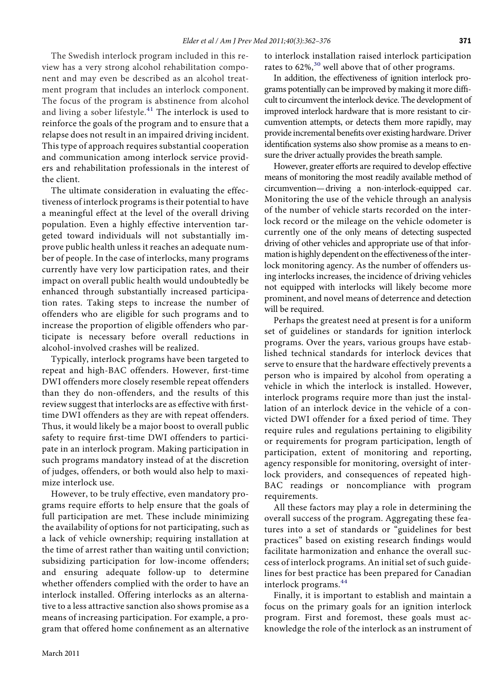The Swedish interlock program included in this review has a very strong alcohol rehabilitation component and may even be described as an alcohol treatment program that includes an interlock component. The focus of the program is abstinence from alcohol and living a sober lifestyle. $41$  The interlock is used to reinforce the goals of the program and to ensure that a relapse does not result in an impaired driving incident. This type of approach requires substantial cooperation and communication among interlock service providers and rehabilitation professionals in the interest of the client.

The ultimate consideration in evaluating the effectiveness of interlock programs is their potential to have a meaningful effect at the level of the overall driving population. Even a highly effective intervention targeted toward individuals will not substantially improve public health unless it reaches an adequate number of people. In the case of interlocks, many programs currently have very low participation rates, and their impact on overall public health would undoubtedly be enhanced through substantially increased participation rates. Taking steps to increase the number of offenders who are eligible for such programs and to increase the proportion of eligible offenders who participate is necessary before overall reductions in alcohol-involved crashes will be realized.

Typically, interlock programs have been targeted to repeat and high-BAC offenders. However, fırst-time DWI offenders more closely resemble repeat offenders than they do non-offenders, and the results of this review suggest that interlocks are as effective with fırsttime DWI offenders as they are with repeat offenders. Thus, it would likely be a major boost to overall public safety to require fırst-time DWI offenders to participate in an interlock program. Making participation in such programs mandatory instead of at the discretion of judges, offenders, or both would also help to maximize interlock use.

However, to be truly effective, even mandatory programs require efforts to help ensure that the goals of full participation are met. These include minimizing the availability of options for not participating, such as a lack of vehicle ownership; requiring installation at the time of arrest rather than waiting until conviction; subsidizing participation for low-income offenders; and ensuring adequate follow-up to determine whether offenders complied with the order to have an interlock installed. Offering interlocks as an alternative to a less attractive sanction also shows promise as a means of increasing participation. For example, a program that offered home confınement as an alternative

to interlock installation raised interlock participation rates to 62%,<sup>[30](#page-10-0)</sup> well above that of other programs.

In addition, the effectiveness of ignition interlock programs potentially can be improved by making it more diffıcult to circumvent the interlock device. The development of improved interlock hardware that is more resistant to circumvention attempts, or detects them more rapidly, may provide incremental benefıts over existing hardware. Driver identifıcation systems also show promise as a means to ensure the driver actually provides the breath sample.

However, greater efforts are required to develop effective means of monitoring the most readily available method of circumvention—driving a non-interlock-equipped car. Monitoring the use of the vehicle through an analysis of the number of vehicle starts recorded on the interlock record or the mileage on the vehicle odometer is currently one of the only means of detecting suspected driving of other vehicles and appropriate use of that information is highly dependent on the effectiveness of the interlock monitoring agency. As the number of offenders using interlocks increases, the incidence of driving vehicles not equipped with interlocks will likely become more prominent, and novel means of deterrence and detection will be required.

Perhaps the greatest need at present is for a uniform set of guidelines or standards for ignition interlock programs. Over the years, various groups have established technical standards for interlock devices that serve to ensure that the hardware effectively prevents a person who is impaired by alcohol from operating a vehicle in which the interlock is installed. However, interlock programs require more than just the installation of an interlock device in the vehicle of a convicted DWI offender for a fıxed period of time. They require rules and regulations pertaining to eligibility or requirements for program participation, length of participation, extent of monitoring and reporting, agency responsible for monitoring, oversight of interlock providers, and consequences of repeated high-BAC readings or noncompliance with program requirements.

All these factors may play a role in determining the overall success of the program. Aggregating these features into a set of standards or "guidelines for best practices" based on existing research fındings would facilitate harmonization and enhance the overall success of interlock programs. An initial set of such guidelines for best practice has been prepared for Canadian interlock programs.<sup>[44](#page-11-0)</sup>

Finally, it is important to establish and maintain a focus on the primary goals for an ignition interlock program. First and foremost, these goals must acknowledge the role of the interlock as an instrument of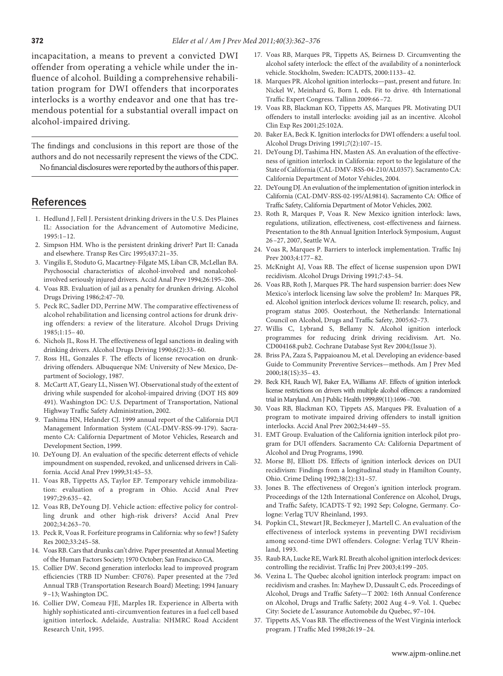<span id="page-10-0"></span>incapacitation, a means to prevent a convicted DWI offender from operating a vehicle while under the influence of alcohol. Building a comprehensive rehabilitation program for DWI offenders that incorporates interlocks is a worthy endeavor and one that has tremendous potential for a substantial overall impact on alcohol-impaired driving.

The fındings and conclusions in this report are those of the authors and do not necessarily represent the views of the CDC.

No financial disclosures were reported by the authors of this paper.

#### References

- 1. Hedlund J, Fell J. Persistent drinking drivers in the U.S. Des Plaines IL: Association for the Advancement of Automotive Medicine, 1995:1–12.
- 2. Simpson HM. Who is the persistent drinking driver? Part II: Canada and elsewhere. Transp Res Circ 1995;437:21–35.
- 3. Vingilis E, Stoduto G, Macartney-Filgate MS, Liban CB, McLellan BA. Psychosocial characteristics of alcohol-involved and nonalcoholinvolved seriously injured drivers. Accid Anal Prev 1994;26:195–206.
- 4. Voas RB. Evaluation of jail as a penalty for drunken driving. Alcohol Drugs Driving 1986;2:47–70.
- 5. Peck RC, Sadler DD, Perrine MW. The comparative effectiveness of alcohol rehabilitation and licensing control actions for drunk driving offenders: a review of the literature. Alcohol Drugs Driving 1985;1:15– 40.
- 6. Nichols JL, Ross H. The effectiveness of legal sanctions in dealing with drinking drivers. Alcohol Drugs Driving 1990;6(2):33– 60.
- 7. Ross HL, Gonzales F. The effects of license revocation on drunkdriving offenders. Albuquerque NM: University of New Mexico, Department of Sociology, 1987.
- 8. McCartt AT, Geary LL, Nissen WJ. Observational study of the extent of driving while suspended for alcohol-impaired driving (DOT HS 809 491). Washington DC: U.S. Department of Transportation, National Highway Traffıc Safety Administration, 2002.
- 9. Tashima HN, Helander CJ. 1999 annual report of the California DUI Management Information System (CAL-DMV-RSS-99-179). Sacramento CA: California Department of Motor Vehicles, Research and Development Section, 1999.
- 10. DeYoung DJ. An evaluation of the specifıc deterrent effects of vehicle impoundment on suspended, revoked, and unlicensed drivers in California. Accid Anal Prev 1999;31:45–53.
- 11. Voas RB, Tippetts AS, Taylor EP. Temporary vehicle immobilization: evaluation of a program in Ohio. Accid Anal Prev 1997;29:635– 42.
- 12. Voas RB, DeYoung DJ. Vehicle action: effective policy for controlling drunk and other high-risk drivers? Accid Anal Prev 2002;34:263–70.
- 13. Peck R, Voas R. Forfeiture programs in California: why so few? J Safety Res 2002;33:245–58.
- 14. Voas RB. Cars that drunks can't drive. Paper presented at Annual Meeting of the Human Factors Society; 1970 October; San Francisco CA.
- 15. Collier DW. Second generation interlocks lead to improved program effıciencies (TRB ID Number: CF076). Paper presented at the 73rd Annual TRB (Transportation Research Board) Meeting; 1994 January 9 –13; Washington DC.
- 16. Collier DW, Comeau FJE, Marples IR. Experience in Alberta with highly sophisticated anti-circumvention features in a fuel cell based ignition interlock. Adelaide, Australia: NHMRC Road Accident Research Unit, 1995.
- 17. Voas RB, Marques PR, Tippetts AS, Beirness D. Circumventing the alcohol safety interlock: the effect of the availability of a noninterlock vehicle. Stockholm, Sweden: ICADTS, 2000:1133– 42.
- 18. Marques PR. Alcohol ignition interlocks—past, present and future. In: Nickel W, Meinhard G, Born I, eds. Fit to drive. 4th International Traffıc Expert Congress. Tallinn 2009:66 –72.
- 19. Voas RB, Blackman KO, Tippetts AS, Marques PR. Motivating DUI offenders to install interlocks: avoiding jail as an incentive. Alcohol Clin Exp Res 2001;25:102A.
- 20. Baker EA, Beck K. Ignition interlocks for DWI offenders: a useful tool. Alcohol Drugs Driving 1991;7(2):107–15.
- 21. DeYoung DJ, Tashima HN, Masten AS. An evaluation of the effectiveness of ignition interlock in California: report to the legislature of the State of California (CAL-DMV-RSS-04-210/AL0357). Sacramento CA: California Department of Motor Vehicles, 2004.
- 22. DeYoung DJ. An evaluation of the implementation of ignition interlock in California (CAL-DMV-RSS-02-195/AL9814). Sacramento CA: Offıce of Traffıc Safety, California Department of Motor Vehicles, 2002.
- 23. Roth R, Marques P, Voas R. New Mexico ignition interlock: laws, regulations, utilization, effectiveness, cost-effectiveness and fairness. Presentation to the 8th Annual Ignition Interlock Symposium, August 26 –27, 2007, Seattle WA.
- 24. Voas R, Marques P. Barriers to interlock implementation. Traffıc Inj Prev 2003;4:177– 82.
- 25. McKnight AJ, Voas RB. The effect of license suspension upon DWI recidivism. Alcohol Drugs Driving 1991;7:43–54.
- 26. Voas RB, Roth J, Marques PR. The hard suspension barrier: does New Mexico's interlock licensing law solve the problem? In: Marques PR, ed. Alcohol ignition interlock devices volume II: research, policy, and program status 2005. Oosterhout, the Netherlands: International Council on Alcohol, Drugs and Traffıc Safety, 2005:62–73.
- 27. Willis C, Lybrand S, Bellamy N. Alcohol ignition interlock programmes for reducing drink driving recidivism. Art. No. CD004168.pub2. Cochrane Database Syst Rev 2004;(Issue 3).
- 28. Briss PA, Zaza S, Pappaioanou M, et al. Developing an evidence-based Guide to Community Preventive Services—methods. Am J Prev Med 2000;18(1S):35– 43.
- 29. Beck KH, Rauch WJ, Baker EA, Williams AF. Effects of ignition interlock license restrictions on drivers with multiple alcohol offences: a randomized trial inMaryland. Am J Public Health 1999;89(11):1696–700.
- 30. Voas RB, Blackman KO, Tippets AS, Marques PR. Evaluation of a program to motivate impaired driving offenders to install ignition interlocks. Accid Anal Prev 2002;34:449 –55.
- 31. EMT Group. Evaluation of the California ignition interlock pilot program for DUI offenders. Sacramento CA: California Department of Alcohol and Drug Programs, 1990.
- 32. Morse BJ, Elliott DS. Effects of ignition interlock devices on DUI recidivism: Findings from a longitudinal study in Hamilton County, Ohio. Crime Delinq 1992;38(2):131–57.
- 33. Jones B. The effectiveness of Oregon's ignition interlock program. Proceedings of the 12th International Conference on Alcohol, Drugs, and Traffıc Safety, ICADTS-T 92; 1992 Sep; Cologne, Germany. Cologne: Verlag TUV Rheinland, 1993.
- 34. Popkin CL, Stewart JR, Beckmeyer J, Martell C. An evaluation of the effectiveness of interlock systems in preventing DWI recidivism among second-time DWI offenders. Cologne: Verlag TUV Rheinland, 1993.
- 35. Raub RA, Lucke RE, Wark RI. Breath alcohol ignition interlock devices: controlling the recidivist. Traffıc Inj Prev 2003;4:199 –205.
- 36. Vezina L. The Quebec alcohol ignition interlock program: impact on recidivism and crashes. In: Mayhew D, Dussault C, eds. Proceedings of Alcohol, Drugs and Traffıc Safety—T 2002: 16th Annual Conference on Alcohol, Drugs and Traffıc Safety; 2002 Aug 4 –9. Vol. 1. Quebec City: Societe de L'assurance Automobile du Quebec, 97–104.
- 37. Tippetts AS, Voas RB. The effectiveness of the West Virginia interlock program. J Traffıc Med 1998;26:19 –24.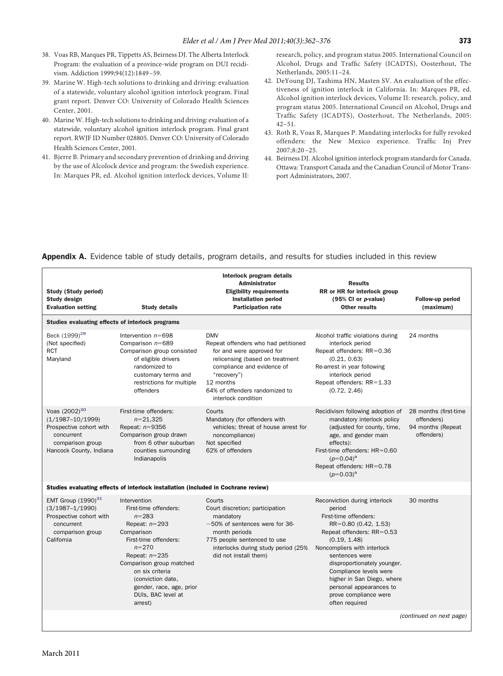- <span id="page-11-0"></span>38. Voas RB, Marques PR, Tippetts AS, Beirness DJ. The Alberta Interlock Program: the evaluation of a province-wide program on DUI recidivism. Addiction 1999;94(12):1849 –59.
- 39. Marine W. High-tech solutions to drinking and driving: evaluation of a statewide, voluntary alcohol ignition interlock program. Final grant report. Denver CO: University of Colorado Health Sciences Center, 2001.
- 40. Marine W. High-tech solutions to drinking and driving: evaluation of a statewide, voluntary alcohol ignition interlock program. Final grant report. RWJF ID Number 028805. Denver CO: University of Colorado Health Sciences Center, 2001.
- 41. Bjerre B. Primary and secondary prevention of drinking and driving by the use of Alcolock device and program: the Swedish experience. In: Marques PR, ed. Alcohol ignition interlock devices, Volume II:

research, policy, and program status 2005. International Council on Alcohol, Drugs and Traffıc Safety (ICADTS), Oosterhout, The Netherlands, 2005:11–24.

- 42. DeYoung DJ, Tashima HN, Masten SV. An evaluation of the effectiveness of ignition interlock in California. In: Marques PR, ed. Alcohol ignition interlock devices, Volume II: research, policy, and program status 2005. International Council on Alcohol, Drugs and Traffıc Safety (ICADTS), Oosterhout, The Netherlands, 2005: 42–51.
- 43. Roth R, Voas R, Marques P. Mandating interlocks for fully revoked offenders: the New Mexico experience. Traffıc Inj Prev 2007;8:20 –25.
- 44. Beirness DJ. Alcohol ignition interlock program standards for Canada. Ottawa: Transport Canada and the Canadian Council of Motor Transport Administrators, 2007.

#### Appendix A. Evidence table of study details, program details, and results for studies included in this review

| <b>Study (Study period)</b><br>Study design<br><b>Evaluation setting</b>                                                                  | <b>Study details</b>                                                                                                                                                                                                                                                          | Interlock program details<br><b>Administrator</b><br><b>Eligibility requirements</b><br><b>Installation period</b><br><b>Participation rate</b>                                                                                      | <b>Results</b><br>RR or HR for interlock group<br>(95% CI or <i>p</i> -value)<br>Other results                                                                                                                                                                                                                                                      | Follow-up period<br>(maximum)                                            |
|-------------------------------------------------------------------------------------------------------------------------------------------|-------------------------------------------------------------------------------------------------------------------------------------------------------------------------------------------------------------------------------------------------------------------------------|--------------------------------------------------------------------------------------------------------------------------------------------------------------------------------------------------------------------------------------|-----------------------------------------------------------------------------------------------------------------------------------------------------------------------------------------------------------------------------------------------------------------------------------------------------------------------------------------------------|--------------------------------------------------------------------------|
| Studies evaluating effects of interlock programs                                                                                          |                                                                                                                                                                                                                                                                               |                                                                                                                                                                                                                                      |                                                                                                                                                                                                                                                                                                                                                     |                                                                          |
| Beck (1999) <sup>29</sup><br>(Not specified)<br><b>RCT</b><br>Maryland                                                                    | Intervention $n = 698$<br>Comparison $n = 689$<br>Comparison group consisted<br>of eligible drivers<br>randomized to<br>customary terms and<br>restrictions for multiple<br>offenders                                                                                         | <b>DMV</b><br>Repeat offenders who had petitioned<br>for and were approved for<br>relicensing (based on treatment<br>compliance and evidence of<br>"recovery")<br>12 months<br>64% of offenders randomized to<br>interlock condition | Alcohol traffic violations during<br>interlock period<br>Repeat offenders: RR=0.36<br>(0.21, 0.63)<br>Re-arrest in year following<br>interlock period<br>Repeat offenders: RR=1.33<br>(0.72, 2.46)                                                                                                                                                  | 24 months                                                                |
| Voas (2002) <sup>30</sup><br>$(1/1987 - 10/1999)$<br>Prospective cohort with<br>concurrent<br>comparison group<br>Hancock County, Indiana | First-time offenders:<br>$n = 21,325$<br>Repeat: $n=9356$<br>Comparison group drawn<br>from 6 other suburban<br>counties surrounding<br>Indianapolis                                                                                                                          | Courts<br>Mandatory (for offenders with<br>vehicles; threat of house arrest for<br>noncompliance)<br>Not specified<br>62% of offenders                                                                                               | Recidivism following adoption of<br>mandatory interlock policy<br>(adjusted for county, time,<br>age, and gender main<br>effects):<br>First-time offenders: $HR = 0.60$<br>$(p=0.04)^a$<br>Repeat offenders: HR=0.78<br>$(p=0.03)^a$                                                                                                                | 28 months (first-time)<br>offenders)<br>94 months (Repeat)<br>offenders) |
|                                                                                                                                           | Studies evaluating effects of interlock installation (included in Cochrane review)                                                                                                                                                                                            |                                                                                                                                                                                                                                      |                                                                                                                                                                                                                                                                                                                                                     |                                                                          |
| EMT Group $(1990)^{31}$<br>$(3/1987 - 1/1990)$<br>Prospective cohort with<br>concurrent<br>comparison group<br>California                 | Intervention<br>First-time offenders:<br>$n = 283$<br>Repeat: $n=293$<br>Comparison<br>First-time offenders:<br>$n = 270$<br>Repeat: $n=235$<br>Comparison group matched<br>on six criteria<br>(conviction date,<br>gender, race, age, prior<br>DUIs, BAC level at<br>arrest) | Courts<br>Court discretion; participation<br>mandatory<br>$\sim$ 50% of sentences were for 36-<br>month periods<br>775 people sentenced to use<br>interlocks during study period (25%<br>did not install them)                       | Reconviction during interlock<br>period<br>First-time offenders:<br>RR=0.80 (0.42, 1.53)<br>Repeat offenders: RR=0.53<br>(0.19, 1.48)<br>Noncompliers with interlock<br>sentences were<br>disproportionately younger.<br>Compliance levels were<br>higher in San Diego, where<br>personal appearances to<br>prove compliance were<br>often required | 30 months                                                                |
|                                                                                                                                           |                                                                                                                                                                                                                                                                               |                                                                                                                                                                                                                                      |                                                                                                                                                                                                                                                                                                                                                     | (continued on next page)                                                 |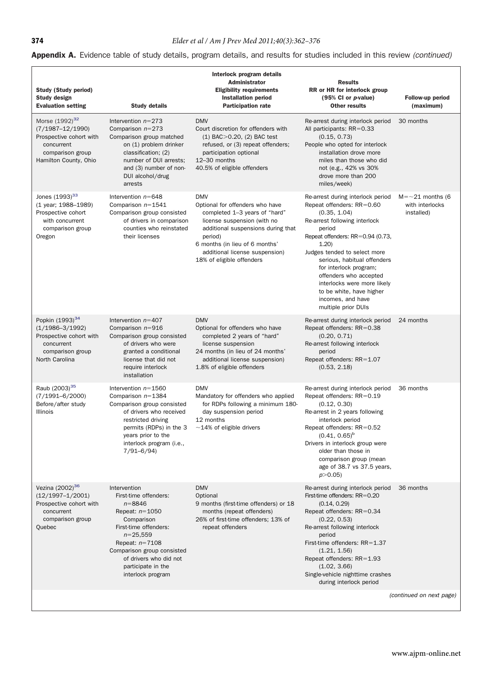#### **374** *Elder et al / Am J Prev Med 2011;40(3):362–376*

| Appendix A. Evidence table of study details, program details, and results for studies included in this review <i>(continued)</i> |  |  |
|----------------------------------------------------------------------------------------------------------------------------------|--|--|
|                                                                                                                                  |  |  |

| <b>Study (Study period)</b><br>Study design<br><b>Evaluation setting</b>                                                                 | <b>Study details</b>                                                                                                                                                                                                                                  | Interlock program details<br>Administrator<br><b>Eligibility requirements</b><br><b>Installation period</b><br><b>Participation rate</b>                                                                                                                        | <b>Results</b><br><b>RR</b> or HR for interlock group<br>$(95%$ CI or <i>p</i> -value)<br><b>Other results</b>                                                                                                                                                                                                                                                                                  | Follow-up period<br>(maximum)                            |
|------------------------------------------------------------------------------------------------------------------------------------------|-------------------------------------------------------------------------------------------------------------------------------------------------------------------------------------------------------------------------------------------------------|-----------------------------------------------------------------------------------------------------------------------------------------------------------------------------------------------------------------------------------------------------------------|-------------------------------------------------------------------------------------------------------------------------------------------------------------------------------------------------------------------------------------------------------------------------------------------------------------------------------------------------------------------------------------------------|----------------------------------------------------------|
| Morse (1992) <sup>32</sup><br>$(7/1987 - 12/1990)$<br>Prospective cohort with<br>concurrent<br>comparison group<br>Hamilton County, Ohio | Intervention $n=273$<br>Comparison $n=273$<br>Comparison group matched<br>on (1) problem drinker<br>classification; (2)<br>number of DUI arrests;<br>and (3) number of non-<br>DUI alcohol/drug<br>arrests                                            | <b>DMV</b><br>Court discretion for offenders with<br>$(1)$ BAC $>$ 0.20, $(2)$ BAC test<br>refused, or (3) repeat offenders;<br>participation optional<br>12-30 months<br>40.5% of eligible offenders                                                           | Re-arrest during interlock period<br>All participants: $RR = 0.33$<br>(0.15, 0.73)<br>People who opted for interlock<br>installation drove more<br>miles than those who did<br>not (e.g., 42% vs 30%<br>drove more than 200<br>miles/week)                                                                                                                                                      | 30 months                                                |
| Jones $(1993)^{33}$<br>(1 year; 1988-1989)<br>Prospective cohort<br>with concurrent<br>comparison group<br>Oregon                        | Intervention $n = 648$<br>Comparison $n = 1541$<br>Comparison group consisted<br>of drivers in comparison<br>counties who reinstated<br>their licenses                                                                                                | <b>DMV</b><br>Optional for offenders who have<br>completed 1-3 years of "hard"<br>license suspension (with no<br>additional suspensions during that<br>period)<br>6 months (in lieu of 6 months'<br>additional license suspension)<br>18% of eligible offenders | Re-arrest during interlock period<br>Repeat offenders: RR=0.60<br>(0.35, 1.04)<br>Re-arrest following interlock<br>period<br>Repeat offenders: RR=0.94 (0.73,<br>1.20<br>Judges tended to select more<br>serious, habitual offenders<br>for interlock program;<br>offenders who accepted<br>interlocks were more likely<br>to be white, have higher<br>incomes, and have<br>multiple prior DUIs | $M = \sim 21$ months (6<br>with interlocks<br>installed) |
| Popkin (1993) <sup>34</sup><br>$(1/1986 - 3/1992)$<br>Prospective cohort with<br>concurrent<br>comparison group<br>North Carolina        | Intervention $n=407$<br>Comparison $n = 916$<br>Comparison group consisted<br>of drivers who were<br>granted a conditional<br>license that did not<br>require interlock<br>installation                                                               | <b>DMV</b><br>Optional for offenders who have<br>completed 2 years of "hard"<br>license suspension<br>24 months (in lieu of 24 months'<br>additional license suspension)<br>1.8% of eligible offenders                                                          | Re-arrest during interlock period<br>Repeat offenders: RR=0.38<br>(0.20, 0.71)<br>Re-arrest following interlock<br>period<br>Repeat offenders: $RR = 1.07$<br>(0.53, 2.18)                                                                                                                                                                                                                      | 24 months                                                |
| Raub (2003) <sup>35</sup><br>$(7/1991 - 6/2000)$<br>Before/after study<br>Illinois                                                       | Intervention $n = 1560$<br>Comparison $n=1384$<br>Comparison group consisted<br>of drivers who received<br>restricted driving<br>permits (RDPs) in the 3<br>years prior to the<br>interlock program (i.e.,<br>$7/91 - 6/94$                           | DMV<br>Mandatory for offenders who applied<br>for RDPs following a minimum 180-<br>day suspension period<br>12 months<br>$~14\%$ of eligible drivers                                                                                                            | Re-arrest during interlock period<br>Repeat offenders: RR=0.19<br>(0.12, 0.30)<br>Re-arrest in 2 years following<br>interlock period<br>Repeat offenders: RR=0.52<br>$(0.41, 0.65)^{b}$<br>Drivers in interlock group were<br>older than those in<br>comparison group (mean<br>age of 38.7 vs 37.5 years,<br>p > 0.05                                                                           | 36 months                                                |
| Vezina (2002) <sup>36</sup><br>$(12/1997 - 1/2001)$<br>Prospective cohort with<br>concurrent<br>comparison group<br>Quebec               | Intervention<br>First-time offenders:<br>$n = 8846$<br>Repeat: $n=1050$<br>Comparison<br>First-time offenders:<br>$n = 25,559$<br>Repeat: $n=7108$<br>Comparison group consisted<br>of drivers who did not<br>participate in the<br>interlock program | <b>DMV</b><br>Optional<br>9 months (first-time offenders) or 18<br>months (repeat offenders)<br>26% of first-time offenders; 13% of<br>repeat offenders                                                                                                         | Re-arrest during interlock period<br>First-time offenders: RR=0.20<br>(0.14, 0.29)<br>Repeat offenders: RR=0.34<br>(0.22, 0.53)<br>Re-arrest following interlock<br>period<br>First-time offenders: RR=1.37<br>(1.21, 1.56)<br>Repeat offenders: RR=1.93<br>(1.02, 3.66)<br>Single-vehicle nighttime crashes<br>during interlock period                                                         | 36 months                                                |
|                                                                                                                                          |                                                                                                                                                                                                                                                       |                                                                                                                                                                                                                                                                 |                                                                                                                                                                                                                                                                                                                                                                                                 | (continued on next page)                                 |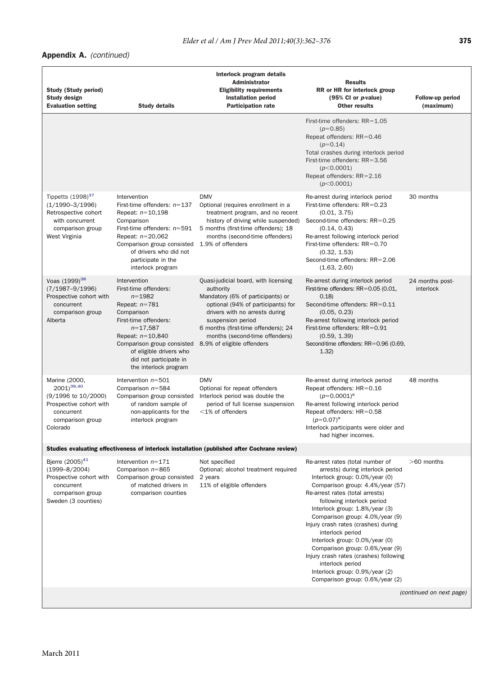#### Appendix A. *(continued)*

| <b>Study (Study period)</b><br>Study design<br><b>Evaluation setting</b>                                                                | <b>Study details</b>                                                                                                                                                                                                                                            | Interlock program details<br>Administrator<br><b>Eligibility requirements</b><br><b>Installation period</b><br><b>Participation rate</b>                                                                                                                                                   | <b>Results</b><br><b>RR</b> or HR for interlock group<br>$(95%$ CI or <i>p</i> -value)<br><b>Other results</b>                                                                                                                                                                                                                                                                                                                                                                                                                                      | Follow-up period<br>(maximum) |  |  |
|-----------------------------------------------------------------------------------------------------------------------------------------|-----------------------------------------------------------------------------------------------------------------------------------------------------------------------------------------------------------------------------------------------------------------|--------------------------------------------------------------------------------------------------------------------------------------------------------------------------------------------------------------------------------------------------------------------------------------------|-----------------------------------------------------------------------------------------------------------------------------------------------------------------------------------------------------------------------------------------------------------------------------------------------------------------------------------------------------------------------------------------------------------------------------------------------------------------------------------------------------------------------------------------------------|-------------------------------|--|--|
|                                                                                                                                         |                                                                                                                                                                                                                                                                 |                                                                                                                                                                                                                                                                                            | First-time offenders: $RR = 1.05$<br>$(p=0.85)$<br>Repeat offenders: RR=0.46<br>$(p=0.14)$<br>Total crashes during interlock period<br>First-time offenders: $RR = 3.56$<br>(p<0.0001)<br>Repeat offenders: RR=2.16<br>(p<0.0001)                                                                                                                                                                                                                                                                                                                   |                               |  |  |
| Tippetts $(1998)^{37}$<br>$(1/1990 - 3/1996)$<br>Retrospective cohort<br>with concurrent<br>comparison group<br>West Virginia           | Intervention<br>First-time offenders: $n=137$<br>Repeat: $n=10,198$<br>Comparison<br>First-time offenders: $n = 591$<br>Repeat: $n=20,062$<br>Comparison group consisted 1.9% of offenders<br>of drivers who did not<br>participate in the<br>interlock program | <b>DMV</b><br>Optional (requires enrollment in a<br>treatment program, and no recent<br>history of driving while suspended)<br>5 months (first-time offenders); 18<br>months (second-time offenders)                                                                                       | Re-arrest during interlock period<br>First-time offenders: RR=0.23<br>(0.01, 3.75)<br>Second-time offenders: RR=0.25<br>(0.14, 0.43)<br>Re-arrest following interlock period<br>First-time offenders: RR=0.70<br>(0.32, 1.53)<br>Second-time offenders: RR=2.06<br>(1.63, 2.60)                                                                                                                                                                                                                                                                     | 30 months                     |  |  |
| Voas (1999) <sup>38</sup><br>$(7/1987 - 9/1996)$<br>Prospective cohort with<br>concurrent<br>comparison group<br>Alberta                | Intervention<br>First-time offenders:<br>$n = 1982$<br>Repeat: $n=781$<br>Comparison<br>First-time offenders:<br>$n = 17,587$<br>Repeat: $n=10,840$<br>Comparison group consisted<br>of eligible drivers who<br>did not participate in<br>the interlock program | Quasi-judicial board, with licensing<br>authority<br>Mandatory (6% of participants) or<br>optional (94% of participants) for<br>drivers with no arrests during<br>suspension period<br>6 months (first-time offenders); 24<br>months (second-time offenders)<br>8.9% of eligible offenders | Re-arrest during interlock period<br>First-time offenders: $RR=0.05$ (0.01,<br>0.18<br>Second-time offenders: RR=0.11<br>(0.05, 0.23)<br>Re-arrest following interlock period<br>First-time offenders: RR=0.91<br>(0.59, 1.39)<br>Second-time offenders: RR=0.96 (0.69,<br>1.32)                                                                                                                                                                                                                                                                    | 24 months post-<br>interlock  |  |  |
| Marine (2000,<br>2001) <sup>39,40</sup><br>(9/1996 to 10/2000)<br>Prospective cohort with<br>concurrent<br>comparison group<br>Colorado | Intervention $n = 501$<br>Comparison $n = 584$<br>Comparison group consisted<br>of random sample of<br>non-applicants for the<br>interlock program                                                                                                              | <b>DMV</b><br>Optional for repeat offenders<br>Interlock period was double the<br>period of full license suspension<br>$<$ 1% of offenders                                                                                                                                                 | Re-arrest during interlock period<br>Repeat offenders: HR=0.16<br>$(p=0.0001)^a$<br>Re-arrest following interlock period<br>Repeat offenders: HR=0.58<br>$(p=0.07)^a$<br>Interlock participants were older and<br>had higher incomes.                                                                                                                                                                                                                                                                                                               | 48 months                     |  |  |
| Studies evaluating effectiveness of interlock installation (published after Cochrane review)                                            |                                                                                                                                                                                                                                                                 |                                                                                                                                                                                                                                                                                            |                                                                                                                                                                                                                                                                                                                                                                                                                                                                                                                                                     |                               |  |  |
| Bjerre (2005) <sup>41</sup><br>$(1999 - 8/2004)$<br>Prospective cohort with<br>concurrent<br>comparison group<br>Sweden (3 counties)    | Intervention $n=171$<br>Comparison $n = 865$<br>Comparison group consisted<br>of matched drivers in<br>comparison counties                                                                                                                                      | Not specified<br>Optional; alcohol treatment required<br>2 years<br>11% of eligible offenders                                                                                                                                                                                              | Re-arrest rates (total number of<br>arrests) during interlock period<br>Interlock group: 0.0%/year (0)<br>Comparison group: 4.4%/year (57)<br>Re-arrest rates (total arrests)<br>following interlock period<br>Interlock group: 1.8%/year (3)<br>Comparison group: 4.0%/year (9)<br>Injury crash rates (crashes) during<br>interlock period<br>Interlock group: 0.0%/year (0)<br>Comparison group: 0.6%/year (9)<br>Injury crash rates (crashes) following<br>interlock period<br>Interlock group: 0.9%/year (2)<br>Comparison group: 0.6%/year (2) | $>60$ months                  |  |  |
|                                                                                                                                         |                                                                                                                                                                                                                                                                 |                                                                                                                                                                                                                                                                                            |                                                                                                                                                                                                                                                                                                                                                                                                                                                                                                                                                     | (continued on next page)      |  |  |